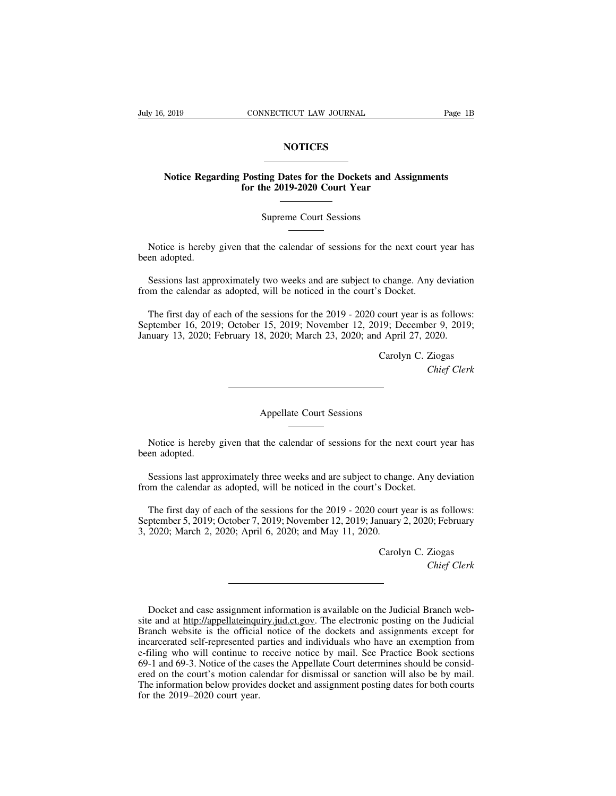## **NOTICES**

## Page 1B<br>
Notice Regarding Posting Dates for the Dockets and Assignments<br>
for the 2019-2020 Court Year **for the 2019-2020 Court Year**<br> **for the 2019-2020 Court Year** NOTICES<br>
ing Dates for the Dockets and A<br>
he 2019-2020 Court Year<br>
Supreme Court Sessions

Notice Regarding Posting Dates for the Dockets and Assignments<br>for the 2019-2020 Court Year<br>Supreme Court Sessions<br>Notice is hereby given that the calendar of sessions for the next court year has<br>en adopted. Notice is hereby<br>been adopted.<br>Sessions last app

Supreme Court Sessions<br>
Sessions last approximately two weeks and are subject to change. Any deviation<br>
Sessions last approximately two weeks and are subject to change. Any deviation<br>
om the calendar as adopted, will be no Suppleme Court Sessions<br>
Motice is hereby given that the calendar of sessions for the next court<br>
been adopted.<br>
Sessions last approximately two weeks and are subject to change. Any of<br>
from the calendar as adopted, will b

Notice is hereby given that the calendar of sessions for the next court year has<br>en adopted.<br>Sessions last approximately two weeks and are subject to change. Any deviation<br>om the calendar as adopted, will be noticed in the Sessions last approximately two weeks and are subject to change. Any deviation<br>from the calendar as adopted, will be noticed in the court's Docket.<br>The first day of each of the sessions for the 2019 - 2020 court year is as Sessions last approximately two weeks and are subject to change. Any deviation<br>from the calendar as adopted, will be noticed in the court's Docket.<br>The first day of each of the sessions for the 2019 - 2020 court year is as S Docket.<br>
S Docket.<br>
Court year is as follows:<br>
19; December 9, 2019;<br>
1 April 27, 2020.<br>
Carolyn C. Ziogas<br>
Chief Clerk as follows:<br>*eer 9, 2019;<br>2020.*<br>Ziogas<br>*Chief Clerk* 

Caro

Appellate Court Sessions<br>
Notice is hereby given that the calendar of sessions for the next court year has<br>
en adopted. Notice is hereby<br>been adopted.<br>Sessions last appr Sessions last approximately three weeks and are subject to change. Any deviation and the calendar as adopted, will be noticed in the court's Docket. From the court sessions<br>Notice is hereby given that the calendar of sessions for the next court<br>been adopted.<br>Sessions last approximately three weeks and are subject to change. Any of<br>from the calendar as adopted, will be

Notice is hereby given that the calendar of sessions for the next court year has<br>en adopted.<br>Sessions last approximately three weeks and are subject to change. Any deviation<br>om the calendar as adopted, will be noticed in t Sessions last approximately three weeks and are subject to change. Any deviation<br>from the calendar as adopted, will be noticed in the court's Docket.<br>The first day of each of the sessions for the 2019 - 2020 court year is Sessions last approximately three weeks and are subject to change. Any deviation<br>from the calendar as adopted, will be noticed in the court's Docket.<br>The first day of each of the sessions for the 2019 - 2020 court year is Solid Control Control Control Control Control Carolyn C. Ziogas<br>Carolyn C. Ziogas<br>Carolyn C. Ziogas<br>Chief Clerk as follows:<br>*Chief Clerk*<br>Ziogas<br>*Chief Clerk* 

Carolyn C. Ziogas<br>
Chief Clerk<br>
Docket and case assignment information is available on the Judicial Branch web-<br>
e and at http://appellateinquiry.jud.ct.gov. The electronic posting on the Judicial<br>
anch website is the offi Carolyn C. Ziogas<br>
Chief Clerk<br>
Chief Clerk<br>
Shocket and case assignment information is available on the Judicial Branch web-<br>
site and at http://appellateinquiry.jud.ct.gov. The electronic posting on the Judicial<br>
Branch Chief Clerk<br>
Docket and case assignment information is available on the Judicial Branch web-<br>
site and at http://appellateinquiry.jud.ct.gov. The electronic posting on the Judicial<br>
Branch website is the official notice of Docket and case assignment information is available on the Judicial Branch web-<br>site and at http://appellateinquiry.jud.ct.gov. The electronic posting on the Judicial<br>Branch website is the official notice of the dockets an Docket and case assignment information is available on the Judicial Branch web-<br>site and at http://appellateinquiry.jud.ct.gov. The electronic posting on the Judicial<br>Branch website is the official notice of the dockets an Docket and case assignment information is available on the Judicial Branch web-<br>site and at http://appellateinquiry.jud.ct.gov. The electronic posting on the Judicial<br>Branch website is the official notice of the dockets an Docket and case assignment information is available on the Judicial Branch web-<br>site and at http://appellateinquiry.jud.ct.gov. The electronic posting on the Judicial<br>Branch website is the official notice of the dockets an Example and at http://appellateinquiry.jud.ct.gov. The electronic posting on the Judicial Branch website is the official notice of the dockets and assignments except for incarcerated self-represented parties and individua Franch website is the official<br>Branch website is the official<br>incarcerated self-represented p<br>e-filing who will continue to<br>69-1 and 69-3. Notice of the car<br>ered on the court's motion cal<br>The information below provide<br>for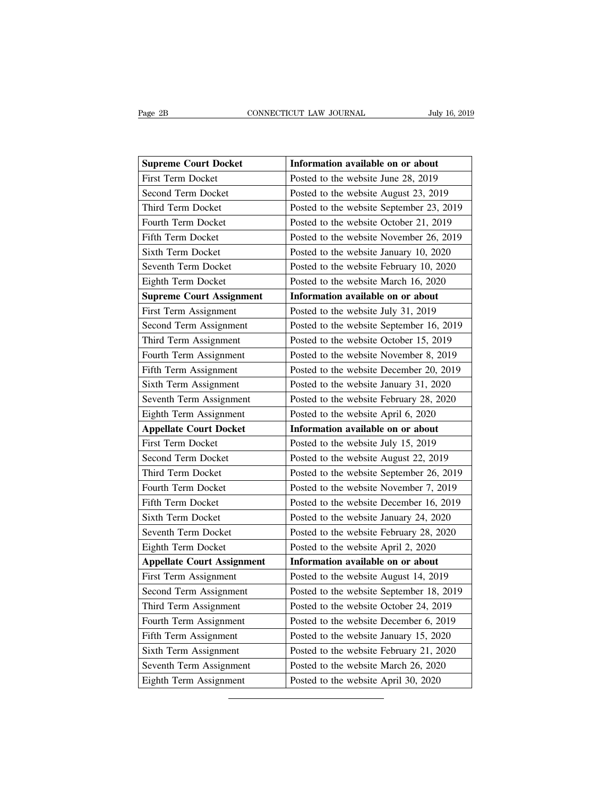| Page 2B                           | CONNECTICUT LAW JOURNAL<br>July 16, 2019 |
|-----------------------------------|------------------------------------------|
|                                   |                                          |
| <b>Supreme Court Docket</b>       | Information available on or about        |
| <b>First Term Docket</b>          | Posted to the website June 28, 2019      |
| Second Term Docket                | Posted to the website August 23, 2019    |
| Third Term Docket                 | Posted to the website September 23, 2019 |
| Fourth Term Docket                | Posted to the website October 21, 2019   |
| Fifth Term Docket                 | Posted to the website November 26, 2019  |
| <b>Sixth Term Docket</b>          | Posted to the website January 10, 2020   |
| Seventh Term Docket               | Posted to the website February 10, 2020  |
| Eighth Term Docket                | Posted to the website March 16, 2020     |
| <b>Supreme Court Assignment</b>   | Information available on or about        |
| First Term Assignment             | Posted to the website July 31, 2019      |
| Second Term Assignment            | Posted to the website September 16, 2019 |
| Third Term Assignment             | Posted to the website October 15, 2019   |
| Fourth Term Assignment            | Posted to the website November 8, 2019   |
| Fifth Term Assignment             | Posted to the website December 20, 2019  |
| Sixth Term Assignment             | Posted to the website January 31, 2020   |
| Seventh Term Assignment           | Posted to the website February 28, 2020  |
| Eighth Term Assignment            | Posted to the website April 6, 2020      |
| <b>Appellate Court Docket</b>     | Information available on or about        |
| <b>First Term Docket</b>          | Posted to the website July 15, 2019      |
| Second Term Docket                | Posted to the website August 22, 2019    |
| Third Term Docket                 | Posted to the website September 26, 2019 |
| Fourth Term Docket                | Posted to the website November 7, 2019   |
| Fifth Term Docket                 | Posted to the website December 16, 2019  |
| <b>Sixth Term Docket</b>          | Posted to the website January 24, 2020   |
| Seventh Term Docket               | Posted to the website February 28, 2020  |
| Eighth Term Docket                | Posted to the website April 2, 2020      |
| <b>Appellate Court Assignment</b> | Information available on or about        |
| First Term Assignment             | Posted to the website August 14, 2019    |
| Second Term Assignment            | Posted to the website September 18, 2019 |
| Third Term Assignment             | Posted to the website October 24, 2019   |
| Fourth Term Assignment            | Posted to the website December 6, 2019   |
| Fifth Term Assignment             | Posted to the website January 15, 2020   |
| Sixth Term Assignment             | Posted to the website February 21, 2020  |
| Seventh Term Assignment           | Posted to the website March 26, 2020     |
| Eighth Term Assignment            | Posted to the website April 30, 2020     |